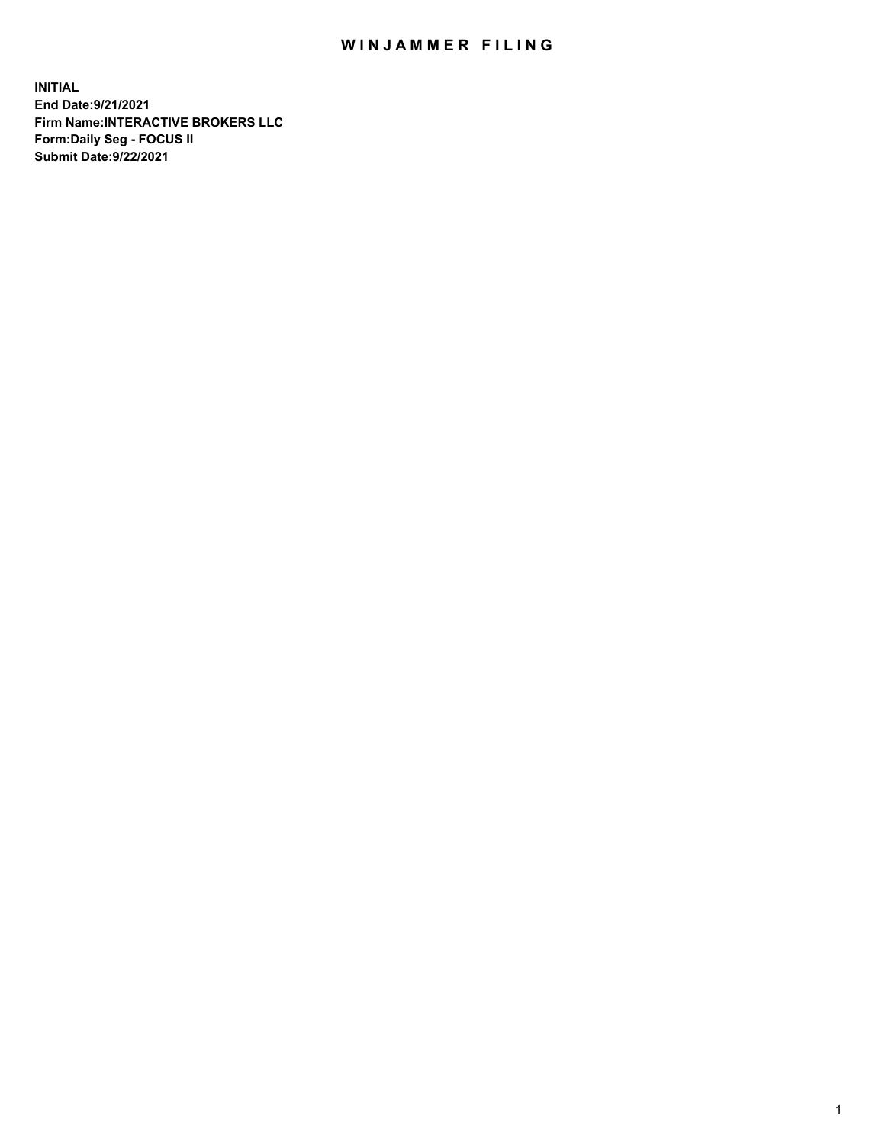## WIN JAMMER FILING

**INITIAL End Date:9/21/2021 Firm Name:INTERACTIVE BROKERS LLC Form:Daily Seg - FOCUS II Submit Date:9/22/2021**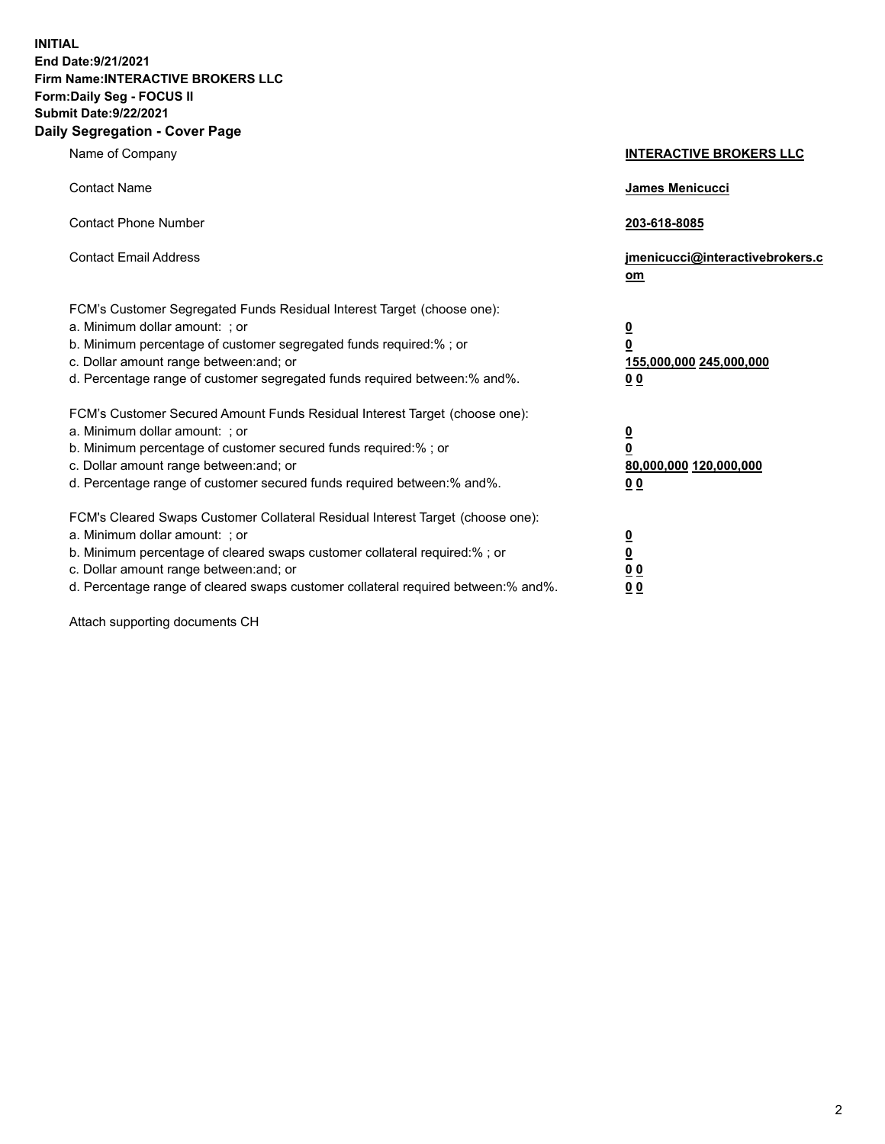**INITIAL End Date:9/21/2021 Firm Name:INTERACTIVE BROKERS LLC Form:Daily Seg - FOCUS II Submit Date:9/22/2021 Daily Segregation - Cover Page**

| Name of Company                                                                                                                                                                                                                                                                                                                | <b>INTERACTIVE BROKERS LLC</b>                                                   |  |
|--------------------------------------------------------------------------------------------------------------------------------------------------------------------------------------------------------------------------------------------------------------------------------------------------------------------------------|----------------------------------------------------------------------------------|--|
| <b>Contact Name</b>                                                                                                                                                                                                                                                                                                            | James Menicucci                                                                  |  |
| <b>Contact Phone Number</b>                                                                                                                                                                                                                                                                                                    | 203-618-8085                                                                     |  |
| <b>Contact Email Address</b>                                                                                                                                                                                                                                                                                                   | jmenicucci@interactivebrokers.c<br>om                                            |  |
| FCM's Customer Segregated Funds Residual Interest Target (choose one):<br>a. Minimum dollar amount: ; or<br>b. Minimum percentage of customer segregated funds required:% ; or<br>c. Dollar amount range between: and; or<br>d. Percentage range of customer segregated funds required between:% and%.                         | <u>0</u><br>$\overline{\mathbf{0}}$<br>155,000,000 245,000,000<br>0 <sub>0</sub> |  |
| FCM's Customer Secured Amount Funds Residual Interest Target (choose one):<br>a. Minimum dollar amount: ; or<br>b. Minimum percentage of customer secured funds required:% ; or<br>c. Dollar amount range between: and; or<br>d. Percentage range of customer secured funds required between:% and%.                           | <u>0</u><br>$\overline{\mathbf{0}}$<br>80,000,000 120,000,000<br>0 <sub>0</sub>  |  |
| FCM's Cleared Swaps Customer Collateral Residual Interest Target (choose one):<br>a. Minimum dollar amount: ; or<br>b. Minimum percentage of cleared swaps customer collateral required:% ; or<br>c. Dollar amount range between: and; or<br>d. Percentage range of cleared swaps customer collateral required between:% and%. | <u>0</u><br>$\underline{\mathbf{0}}$<br>0 <sub>0</sub><br>0 <sub>0</sub>         |  |

Attach supporting documents CH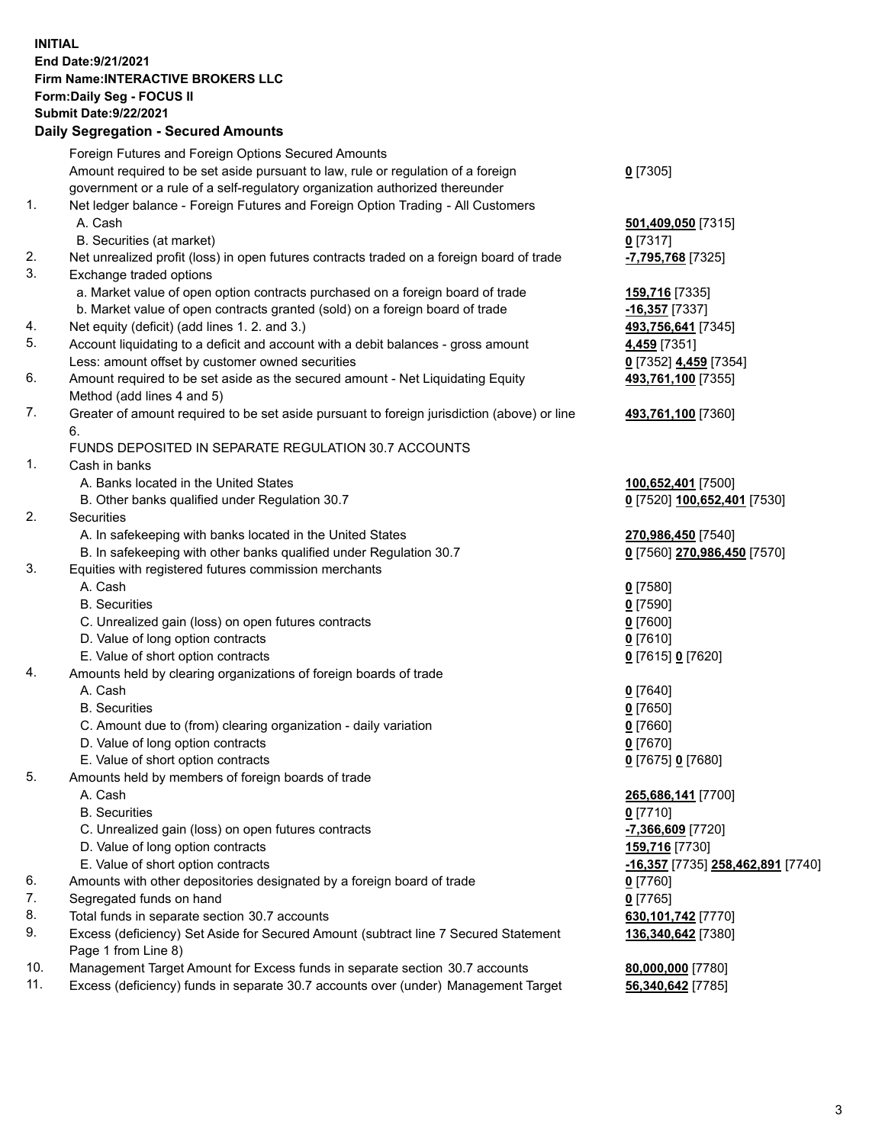**INITIAL End Date:9/21/2021 Firm Name:INTERACTIVE BROKERS LLC Form:Daily Seg - FOCUS II Submit Date:9/22/2021 Daily Segregation - Secured Amounts**

## Foreign Futures and Foreign Options Secured Amounts Amount required to be set aside pursuant to law, rule or regulation of a foreign government or a rule of a self-regulatory organization authorized thereunder **0** [7305] 1. Net ledger balance - Foreign Futures and Foreign Option Trading - All Customers A. Cash **501,409,050** [7315] B. Securities (at market) **0** [7317] 2. Net unrealized profit (loss) in open futures contracts traded on a foreign board of trade **-7,795,768** [7325] 3. Exchange traded options a. Market value of open option contracts purchased on a foreign board of trade **159,716** [7335] b. Market value of open contracts granted (sold) on a foreign board of trade **-16,357** [7337] 4. Net equity (deficit) (add lines 1. 2. and 3.) **493,756,641** [7345] 5. Account liquidating to a deficit and account with a debit balances - gross amount **4,459** [7351] Less: amount offset by customer owned securities **0** [7352] **4,459** [7354] 6. Amount required to be set aside as the secured amount - Net Liquidating Equity Method (add lines 4 and 5) **493,761,100** [7355] 7. Greater of amount required to be set aside pursuant to foreign jurisdiction (above) or line 6. **493,761,100** [7360] FUNDS DEPOSITED IN SEPARATE REGULATION 30.7 ACCOUNTS 1. Cash in banks A. Banks located in the United States **100,652,401** [7500] B. Other banks qualified under Regulation 30.7 **0** [7520] **100,652,401** [7530] 2. Securities A. In safekeeping with banks located in the United States **270,986,450** [7540] B. In safekeeping with other banks qualified under Regulation 30.7 **0** [7560] **270,986,450** [7570] 3. Equities with registered futures commission merchants A. Cash **0** [7580] B. Securities **0** [7590] C. Unrealized gain (loss) on open futures contracts **0** [7600] D. Value of long option contracts **0** [7610] E. Value of short option contracts **0** [7615] **0** [7620] 4. Amounts held by clearing organizations of foreign boards of trade A. Cash **0** [7640] B. Securities **0** [7650] C. Amount due to (from) clearing organization - daily variation **0** [7660] D. Value of long option contracts **0** [7670] E. Value of short option contracts **0** [7675] **0** [7680] 5. Amounts held by members of foreign boards of trade A. Cash **265,686,141** [7700] B. Securities **0** [7710] C. Unrealized gain (loss) on open futures contracts **-7,366,609** [7720] D. Value of long option contracts **159,716** [7730] E. Value of short option contracts **-16,357** [7735] **258,462,891** [7740] 6. Amounts with other depositories designated by a foreign board of trade **0** [7760] 7. Segregated funds on hand **0** [7765] 8. Total funds in separate section 30.7 accounts **630,101,742** [7770] 9. Excess (deficiency) Set Aside for Secured Amount (subtract line 7 Secured Statement Page 1 from Line 8) **136,340,642** [7380] 10. Management Target Amount for Excess funds in separate section 30.7 accounts **80,000,000** [7780] 11. Excess (deficiency) funds in separate 30.7 accounts over (under) Management Target **56,340,642** [7785]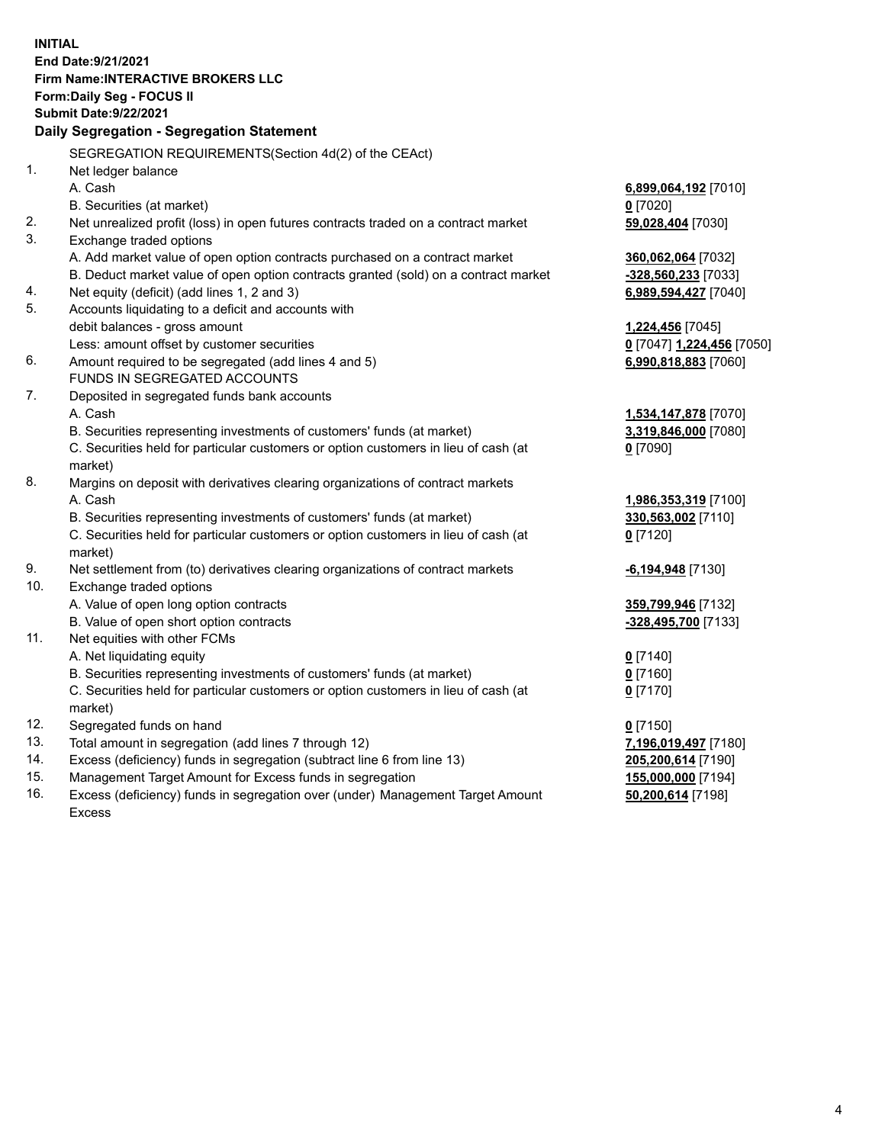**INITIAL End Date:9/21/2021 Firm Name:INTERACTIVE BROKERS LLC Form:Daily Seg - FOCUS II Submit Date:9/22/2021 Daily Segregation - Segregation Statement** SEGREGATION REQUIREMENTS(Section 4d(2) of the CEAct) 1. Net ledger balance A. Cash **6,899,064,192** [7010] B. Securities (at market) **0** [7020] 2. Net unrealized profit (loss) in open futures contracts traded on a contract market **59,028,404** [7030] 3. Exchange traded options A. Add market value of open option contracts purchased on a contract market **360,062,064** [7032] B. Deduct market value of open option contracts granted (sold) on a contract market **-328,560,233** [7033] 4. Net equity (deficit) (add lines 1, 2 and 3) **6,989,594,427** [7040] 5. Accounts liquidating to a deficit and accounts with debit balances - gross amount **1,224,456** [7045] Less: amount offset by customer securities **0** [7047] **1,224,456** [7050] 6. Amount required to be segregated (add lines 4 and 5) **6,990,818,883** [7060] FUNDS IN SEGREGATED ACCOUNTS 7. Deposited in segregated funds bank accounts A. Cash **1,534,147,878** [7070] B. Securities representing investments of customers' funds (at market) **3,319,846,000** [7080] C. Securities held for particular customers or option customers in lieu of cash (at market) **0** [7090] 8. Margins on deposit with derivatives clearing organizations of contract markets A. Cash **1,986,353,319** [7100] B. Securities representing investments of customers' funds (at market) **330,563,002** [7110] C. Securities held for particular customers or option customers in lieu of cash (at market) **0** [7120] 9. Net settlement from (to) derivatives clearing organizations of contract markets **-6,194,948** [7130] 10. Exchange traded options A. Value of open long option contracts **359,799,946** [7132] B. Value of open short option contracts **-328,495,700** [7133] 11. Net equities with other FCMs A. Net liquidating equity **0** [7140] B. Securities representing investments of customers' funds (at market) **0** [7160] C. Securities held for particular customers or option customers in lieu of cash (at market) **0** [7170] 12. Segregated funds on hand **0** [7150] 13. Total amount in segregation (add lines 7 through 12) **7,196,019,497** [7180] 14. Excess (deficiency) funds in segregation (subtract line 6 from line 13) **205,200,614** [7190] 15. Management Target Amount for Excess funds in segregation **155,000,000** [7194]

16. Excess (deficiency) funds in segregation over (under) Management Target Amount Excess

**50,200,614** [7198]